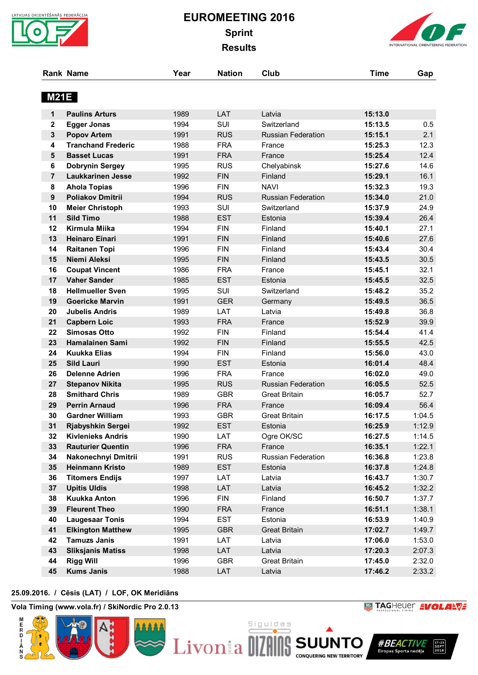

# **EUROMEETING 2016 Sprint Results**

**Rank Name Year Nation Club Time Gap**



| <b>M21E</b>    |                                            |              |                   |                           |                    |              |
|----------------|--------------------------------------------|--------------|-------------------|---------------------------|--------------------|--------------|
| 1              | <b>Paulins Arturs</b>                      | 1989         | LAT               | Latvia                    | 15:13.0            |              |
| 2              | <b>Egger Jonas</b>                         | 1994         | SUI               | Switzerland               | 15:13.5            | 0.5          |
| $\mathbf{3}$   | <b>Popov Artem</b>                         | 1991         | <b>RUS</b>        | <b>Russian Federation</b> | 15:15.1            | 2.1          |
| 4              | <b>Tranchand Frederic</b>                  | 1988         | <b>FRA</b>        | France                    | 15:25.3            | 12.3         |
| 5              | <b>Basset Lucas</b>                        | 1991         | <b>FRA</b>        | France                    | 15:25.4            | 12.4         |
| 6              | <b>Dobrynin Sergey</b>                     | 1995         | <b>RUS</b>        | Chelyabinsk               | 15:27.6            | 14.6         |
| $\overline{7}$ | <b>Laukkarinen Jesse</b>                   | 1992         | <b>FIN</b>        | Finland                   | 15:29.1            | 16.1         |
| 8              | <b>Ahola Topias</b>                        | 1996         | <b>FIN</b>        | <b>NAVI</b>               | 15:32.3            | 19.3         |
| 9              | <b>Poliakov Dmitrii</b>                    | 1994         | <b>RUS</b>        | <b>Russian Federation</b> | 15:34.0            | 21.0         |
| 10             | <b>Meier Christoph</b>                     | 1993         | SUI               | Switzerland               | 15:37.9            | 24.9         |
| 11             | <b>Sild Timo</b>                           | 1988         | <b>EST</b>        | Estonia                   | 15:39.4            | 26.4         |
| 12             | Kirmula Miika                              | 1994         | <b>FIN</b>        | Finland                   | 15:40.1            | 27.1         |
| 13             | <b>Heinaro Einari</b>                      | 1991         | <b>FIN</b>        | Finland                   | 15:40.6            | 27.6         |
| 14             | <b>Raitanen Topi</b>                       | 1996         | <b>FIN</b>        | Finland                   | 15:43.4            | 30.4         |
| 15             | Niemi Aleksi                               | 1995         | <b>FIN</b>        | Finland                   | 15:43.5            | 30.5         |
| 16             | <b>Coupat Vincent</b>                      | 1986         | <b>FRA</b>        | France                    | 15:45.1            | 32.1         |
| 17             | <b>Vaher Sander</b>                        | 1985         | <b>EST</b>        | Estonia                   | 15:45.5            | 32.5         |
| 18             | <b>Hellmueller Sven</b>                    | 1995         | SUI               | Switzerland               | 15:48.2            | 35.2         |
| 19             | <b>Goericke Marvin</b>                     | 1991         | <b>GER</b>        | Germany                   | 15:49.5            | 36.5         |
| 20<br>21       | <b>Jubelis Andris</b>                      | 1989<br>1993 | LAT<br><b>FRA</b> | Latvia<br>France          | 15:49.8<br>15:52.9 | 36.8<br>39.9 |
| 22             | <b>Capbern Loic</b><br><b>Simosas Otto</b> | 1992         | <b>FIN</b>        | Finland                   | 15:54.4            | 41.4         |
| 23             | <b>Hamalainen Sami</b>                     | 1992         | <b>FIN</b>        | Finland                   | 15:55.5            | 42.5         |
| 24             | <b>Kuukka Elias</b>                        | 1994         | <b>FIN</b>        | Finland                   | 15:56.0            | 43.0         |
| 25             | <b>Sild Lauri</b>                          | 1990         | <b>EST</b>        | Estonia                   | 16:01.4            | 48.4         |
| 26             | <b>Delenne Adrien</b>                      | 1996         | <b>FRA</b>        | France                    | 16:02.0            | 49.0         |
| 27             | <b>Stepanov Nikita</b>                     | 1995         | <b>RUS</b>        | <b>Russian Federation</b> | 16:05.5            | 52.5         |
| 28             | <b>Smithard Chris</b>                      | 1989         | <b>GBR</b>        | <b>Great Britain</b>      | 16:05.7            | 52.7         |
| 29             | <b>Perrin Arnaud</b>                       | 1996         | <b>FRA</b>        | France                    | 16:09.4            | 56.4         |
| 30             | <b>Gardner William</b>                     | 1993         | <b>GBR</b>        | <b>Great Britain</b>      | 16:17.5            | 1:04.5       |
| 31             | Rjabyshkin Sergei                          | 1992         | <b>EST</b>        | Estonia                   | 16:25.9            | 1:12.9       |
| 32             | <b>Kivlenieks Andris</b>                   | 1990         | LAT               | Ogre OK/SC                | 16:27.5            | 1:14.5       |
| 33             | <b>Rauturier Quentin</b>                   | 1996         | <b>FRA</b>        | France                    | 16:35.1            | 1:22.1       |
| 34             | Nakonechnyi Dmitrii                        | 1991         | <b>RUS</b>        | Russian Federation        | 16:36.8            | 1:23.8       |
| 35             | <b>Heinmann Kristo</b>                     | 1989         | <b>EST</b>        | Estonia                   | 16:37.8            | 1:24.8       |
| 36             | <b>Titomers Endijs</b>                     | 1997         | LAT               | Latvia                    | 16:43.7            | 1:30.7       |
| 37             | <b>Upitis Uldis</b>                        | 1998         | LAT               | Latvia                    | 16:45.2            | 1:32.2       |
| 38             | <b>Kuukka Anton</b>                        | 1996         | <b>FIN</b>        | Finland                   | 16:50.7            | 1:37.7       |
| 39             | <b>Fleurent Theo</b>                       | 1990         | <b>FRA</b>        | France                    | 16:51.1            | 1:38.1       |
| 40             | <b>Laugesaar Tonis</b>                     | 1994         | <b>EST</b>        | Estonia                   | 16:53.9            | 1:40.9       |
| 41             | <b>Elkington Matthew</b>                   | 1995         | <b>GBR</b>        | <b>Great Britain</b>      | 17:02.7            | 1:49.7       |
| 42             | <b>Tamuzs Janis</b>                        | 1991         | LAT               | Latvia                    | 17:06.0            | 1:53.0       |
| 43             | <b>Sliksjanis Matiss</b>                   | 1998         | LAT               | Latvia                    | 17:20.3            | 2:07.3       |
| 44             | <b>Rigg Will</b>                           | 1996         | <b>GBR</b>        | Great Britain             | 17:45.0            | 2:32.0       |
| 45             | <b>Kums Janis</b>                          | 1988         | LAT               | Latvia                    | 17:46.2            | 2:33.2       |

# **25.09.2016. / Cēsis (LAT) / LOF, OK Meridiāns 26.09.2016. at 13:47 / Page 1/3**

**Vola Timing (www.vola.fr) / SkiNordic Pro 2.0.13**

E<br>R<br>D

**WE TAGHEUER EVOLARVE** 



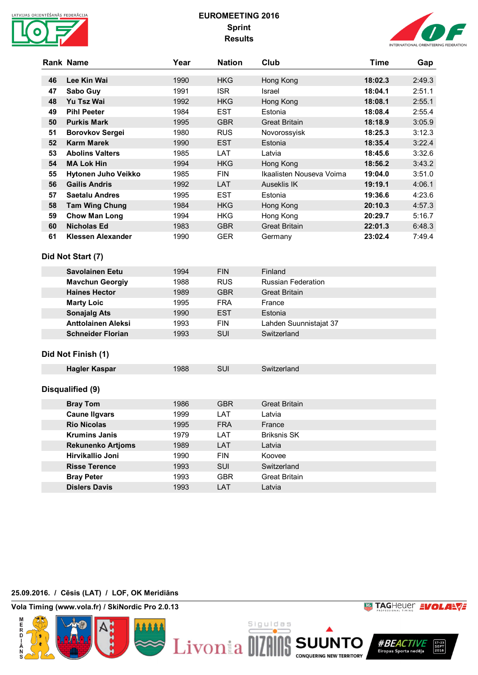

# **EUROMEETING 2016 Sprint Results**



|    | <b>Rank Name</b>           | Year | <b>Nation</b> | Club                     | Time    | Gap    |
|----|----------------------------|------|---------------|--------------------------|---------|--------|
|    |                            |      |               |                          |         |        |
| 46 | Lee Kin Wai                | 1990 | <b>HKG</b>    | Hong Kong                | 18:02.3 | 2:49.3 |
| 47 | Sabo Guy                   | 1991 | <b>ISR</b>    | Israel                   | 18:04.1 | 2:51.1 |
| 48 | Yu Tsz Wai                 | 1992 | <b>HKG</b>    | Hong Kong                | 18:08.1 | 2:55.1 |
| 49 | <b>Pihl Peeter</b>         | 1984 | <b>EST</b>    | Estonia                  | 18:08.4 | 2:55.4 |
| 50 | <b>Purkis Mark</b>         | 1995 | <b>GBR</b>    | <b>Great Britain</b>     | 18:18.9 | 3:05.9 |
| 51 | <b>Borovkov Sergei</b>     | 1980 | <b>RUS</b>    | Novorossyisk             | 18:25.3 | 3:12.3 |
| 52 | <b>Karm Marek</b>          | 1990 | <b>EST</b>    | Estonia                  | 18:35.4 | 3:22.4 |
| 53 | <b>Abolins Valters</b>     | 1985 | LAT           | Latvia                   | 18:45.6 | 3:32.6 |
| 54 | <b>MA Lok Hin</b>          | 1994 | <b>HKG</b>    | Hong Kong                | 18:56.2 | 3:43.2 |
| 55 | <b>Hytonen Juho Veikko</b> | 1985 | <b>FIN</b>    | Ikaalisten Nouseva Voima | 19:04.0 | 3:51.0 |
| 56 | <b>Gailis Andris</b>       | 1992 | LAT           | <b>Auseklis IK</b>       | 19:19.1 | 4:06.1 |
| 57 | <b>Saetalu Andres</b>      | 1995 | EST           | Estonia                  | 19:36.6 | 4:23.6 |
| 58 | <b>Tam Wing Chung</b>      | 1984 | <b>HKG</b>    | Hong Kong                | 20:10.3 | 4:57.3 |
| 59 | <b>Chow Man Long</b>       | 1994 | <b>HKG</b>    | Hong Kong                | 20:29.7 | 5:16.7 |
| 60 | <b>Nicholas Ed</b>         | 1983 | <b>GBR</b>    | <b>Great Britain</b>     | 22:01.3 | 6:48.3 |
| 61 | Klessen Alexander          | 1990 | <b>GER</b>    | Germany                  | 23:02.4 | 7:49.4 |

### **Did Not Start (7)**

| Savolainen Eetu           | 1994 | <b>FIN</b> | Finland                   |
|---------------------------|------|------------|---------------------------|
| <b>Mavchun Georgiy</b>    | 1988 | <b>RUS</b> | <b>Russian Federation</b> |
| <b>Haines Hector</b>      | 1989 | <b>GBR</b> | <b>Great Britain</b>      |
| <b>Marty Loic</b>         | 1995 | <b>FRA</b> | France                    |
| <b>Sonajalg Ats</b>       | 1990 | <b>EST</b> | Estonia                   |
| <b>Anttolainen Aleksi</b> | 1993 | <b>FIN</b> | Lahden Suunnistajat 37    |
| <b>Schneider Florian</b>  | 1993 | SUI        | Switzerland               |

#### **Did Not Finish (1)**

| <b>Hagler Kaspar</b>     | 1988 | <b>SUI</b> | Switzerland          |  |  |  |
|--------------------------|------|------------|----------------------|--|--|--|
|                          |      |            |                      |  |  |  |
|                          |      |            |                      |  |  |  |
| Disqualified (9)         |      |            |                      |  |  |  |
|                          |      |            |                      |  |  |  |
| <b>Bray Tom</b>          | 1986 | <b>GBR</b> | <b>Great Britain</b> |  |  |  |
| <b>Caune Ilgvars</b>     | 1999 | LAT        | Latvia               |  |  |  |
| <b>Rio Nicolas</b>       | 1995 | <b>FRA</b> | France               |  |  |  |
| <b>Krumins Janis</b>     | 1979 | LAT        | <b>Briksnis SK</b>   |  |  |  |
| <b>Rekunenko Artjoms</b> | 1989 | LAT        | Latvia               |  |  |  |
| Hirvikallio Joni         | 1990 | <b>FIN</b> | Koovee               |  |  |  |
| <b>Risse Terence</b>     | 1993 | <b>SUI</b> | Switzerland          |  |  |  |
| <b>Bray Peter</b>        | 1993 | <b>GBR</b> | <b>Great Britain</b> |  |  |  |
| <b>Dislers Davis</b>     | 1993 | LAT        | Latvia               |  |  |  |

#### **25.09.2016. / Cēsis (LAT) / LOF, OK Meridiāns 26.09.2016. at 13:47 / Page 2/3**

**Vola Timing (www.vola.fr) / SkiNordic Pro 2.0.13**



*WEACTIVE* SEPT